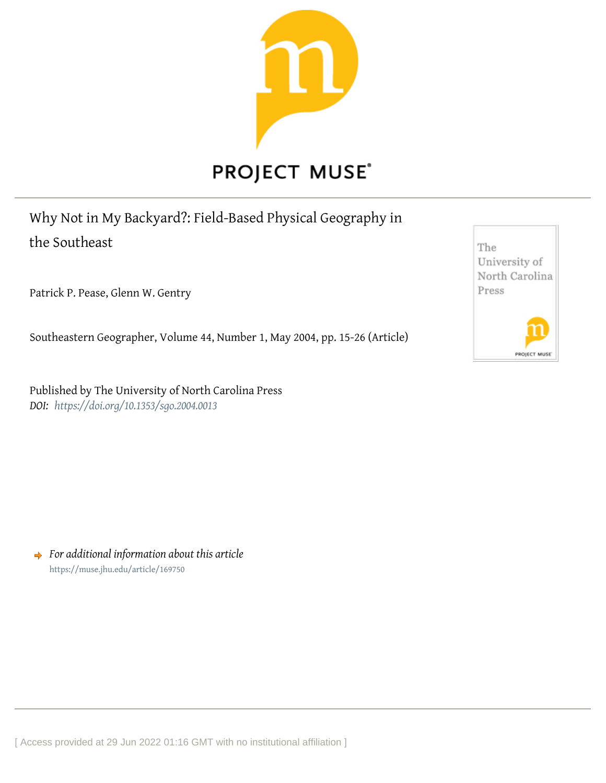

Why Not in My Backyard?: Field-Based Physical Geography in the Southeast

Patrick P. Pease, Glenn W. Gentry

Southeastern Geographer, Volume 44, Number 1, May 2004, pp. 15-26 (Article)

Published by The University of North Carolina Press *DOI: <https://doi.org/10.1353/sgo.2004.0013>*

*For additional information about this article* <https://muse.jhu.edu/article/169750>

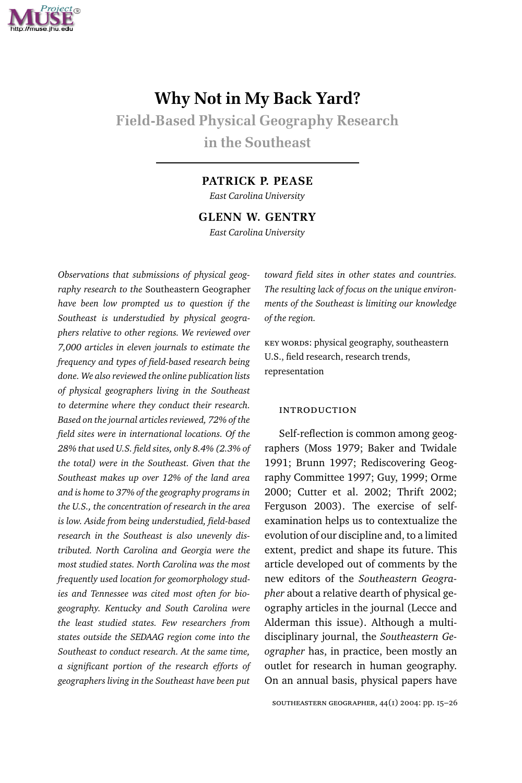

# **Why Not in My Back Yard?**

**Field-Based Physical Geography Research in the Southeast**

#### **PATRICK P. PEASE**

*East Carolina University*

**GLENN W. GENTRY**

*East Carolina University*

*Observations that submissions of physical geography research to the* Southeastern Geographer *have been low prompted us to question if the Southeast is understudied by physical geographers relative to other regions. We reviewed over π,≠≠≠ articles in eleven journals to estimate the frequency and types of field-based research being done. We also reviewed the online publication lists of physical geographers living in the Southeast to determine where they conduct their research. Based on the journal articles reviewed, π≤% of the field sites were in international locations. Of the ≤∫% that used U.S. field sites, only ∫.∂% (≤.≥% of the total) were in the Southeast. Given that the* Southeast makes up over 12% of the land area *and is home to ≥π% of the geography programs in the U.S., the concentration of research in the area is low. Aside from being understudied, field-based research in the Southeast is also unevenly distributed. North Carolina and Georgia were the most studied states. North Carolina was the most frequently used location for geomorphology studies and Tennessee was cited most often for biogeography. Kentucky and South Carolina were the least studied states. Few researchers from states outside the SEDAAG region come into the Southeast to conduct research. At the same time, a significant portion of the research efforts of geographers living in the Southeast have been put*

*toward field sites in other states and countries. The resulting lack of focus on the unique environments of the Southeast is limiting our knowledge of the region.*

key words: physical geography, southeastern U.S., field research, research trends, representation

#### **INTRODUCTION**

Self-reflection is common among geographers (Moss 1979; Baker and Twidale 1991; Brunn 1997; Rediscovering Geography Committee 1997; Guy, 1999; Orme 2000; Cutter et al. 2002; Thrift 2002; Ferguson 2003). The exercise of selfexamination helps us to contextualize the evolution of our discipline and, to a limited extent, predict and shape its future. This article developed out of comments by the new editors of the *Southeastern Geographer* about a relative dearth of physical geography articles in the journal (Lecce and Alderman this issue). Although a multidisciplinary journal, the *Southeastern Geographer* has, in practice, been mostly an outlet for research in human geography. On an annual basis, physical papers have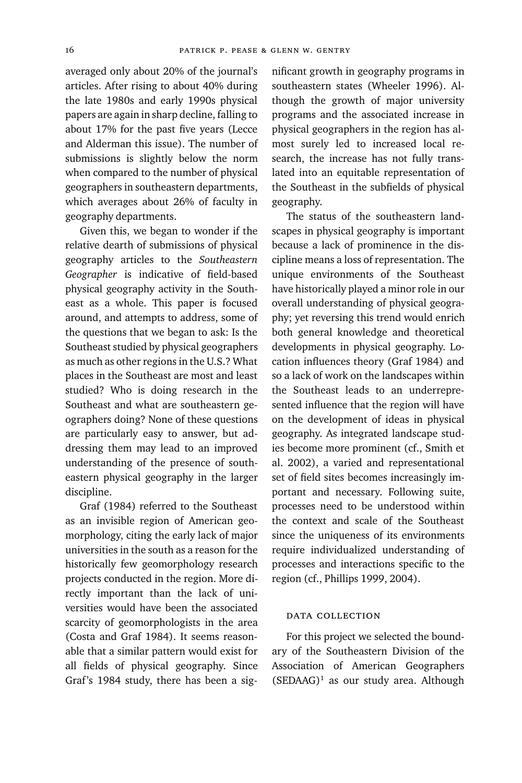averaged only about 20% of the journal's articles. After rising to about 40% during the late 1980s and early 1990s physical papers are again in sharp decline, falling to about 17% for the past five years (Lecce and Alderman this issue). The number of submissions is slightly below the norm when compared to the number of physical geographers in southeastern departments, which averages about 26% of faculty in geography departments.

Given this, we began to wonder if the relative dearth of submissions of physical geography articles to the *Southeastern Geographer* is indicative of field-based physical geography activity in the Southeast as a whole. This paper is focused around, and attempts to address, some of the questions that we began to ask: Is the Southeast studied by physical geographers as much as other regions in the U.S.? What places in the Southeast are most and least studied? Who is doing research in the Southeast and what are southeastern geographers doing? None of these questions are particularly easy to answer, but addressing them may lead to an improved understanding of the presence of southeastern physical geography in the larger discipline.

Graf (1984) referred to the Southeast as an invisible region of American geomorphology, citing the early lack of major universities in the south as a reason for the historically few geomorphology research projects conducted in the region. More directly important than the lack of universities would have been the associated scarcity of geomorphologists in the area (Costa and Graf 1984). It seems reasonable that a similar pattern would exist for all fields of physical geography. Since Graf's 1984 study, there has been a significant growth in geography programs in southeastern states (Wheeler 1996). Although the growth of major university programs and the associated increase in physical geographers in the region has almost surely led to increased local research, the increase has not fully translated into an equitable representation of the Southeast in the subfields of physical geography.

The status of the southeastern landscapes in physical geography is important because a lack of prominence in the discipline means a loss of representation. The unique environments of the Southeast have historically played a minor role in our overall understanding of physical geography; yet reversing this trend would enrich both general knowledge and theoretical developments in physical geography. Location influences theory (Graf 1984) and so a lack of work on the landscapes within the Southeast leads to an underrepresented influence that the region will have on the development of ideas in physical geography. As integrated landscape studies become more prominent (cf., Smith et al. 2002), a varied and representational set of field sites becomes increasingly important and necessary. Following suite, processes need to be understood within the context and scale of the Southeast since the uniqueness of its environments require individualized understanding of processes and interactions specific to the region (cf., Phillips 1999, 2004).

# data collection

For this project we selected the boundary of the Southeastern Division of the Association of American Geographers  $(SEDAAG)^1$  as our study area. Although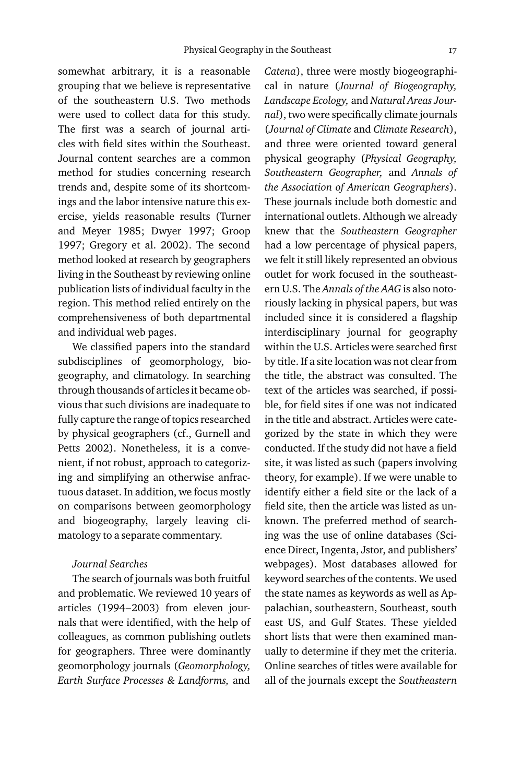somewhat arbitrary, it is a reasonable grouping that we believe is representative of the southeastern U.S. Two methods were used to collect data for this study. The first was a search of journal articles with field sites within the Southeast. Journal content searches are a common method for studies concerning research trends and, despite some of its shortcomings and the labor intensive nature this exercise, yields reasonable results (Turner and Meyer 1985; Dwyer 1997; Groop 1997; Gregory et al. 2002). The second method looked at research by geographers living in the Southeast by reviewing online publication lists of individual faculty in the region. This method relied entirely on the comprehensiveness of both departmental and individual web pages.

We classified papers into the standard subdisciplines of geomorphology, biogeography, and climatology. In searching through thousands of articles it became obvious that such divisions are inadequate to fully capture the range of topics researched by physical geographers (cf., Gurnell and Petts 2002). Nonetheless, it is a convenient, if not robust, approach to categorizing and simplifying an otherwise anfractuous dataset. In addition, we focus mostly on comparisons between geomorphology and biogeography, largely leaving climatology to a separate commentary.

### *Journal Searches*

The search of journals was both fruitful and problematic. We reviewed 10 years of articles (1994-2003) from eleven journals that were identified, with the help of colleagues, as common publishing outlets for geographers. Three were dominantly geomorphology journals (*Geomorphology, Earth Surface Processes & Landforms,* and

*Catena*), three were mostly biogeographical in nature (*Journal of Biogeography, Landscape Ecology,* and *Natural Areas Journal*), two were specifically climate journals (*Journal of Climate* and *Climate Research*), and three were oriented toward general physical geography (*Physical Geography, Southeastern Geographer,* and *Annals of the Association of American Geographers*). These journals include both domestic and international outlets. Although we already knew that the *Southeastern Geographer* had a low percentage of physical papers, we felt it still likely represented an obvious outlet for work focused in the southeastern U.S. The *Annals of the AAG* is also notoriously lacking in physical papers, but was included since it is considered a flagship interdisciplinary journal for geography within the U.S. Articles were searched first by title. If a site location was not clear from the title, the abstract was consulted. The text of the articles was searched, if possible, for field sites if one was not indicated in the title and abstract. Articles were categorized by the state in which they were conducted. If the study did not have a field site, it was listed as such (papers involving theory, for example). If we were unable to identify either a field site or the lack of a field site, then the article was listed as unknown. The preferred method of searching was the use of online databases (Science Direct, Ingenta, Jstor, and publishers' webpages). Most databases allowed for keyword searches of the contents. We used the state names as keywords as well as Appalachian, southeastern, Southeast, south east US, and Gulf States. These yielded short lists that were then examined manually to determine if they met the criteria. Online searches of titles were available for all of the journals except the *Southeastern*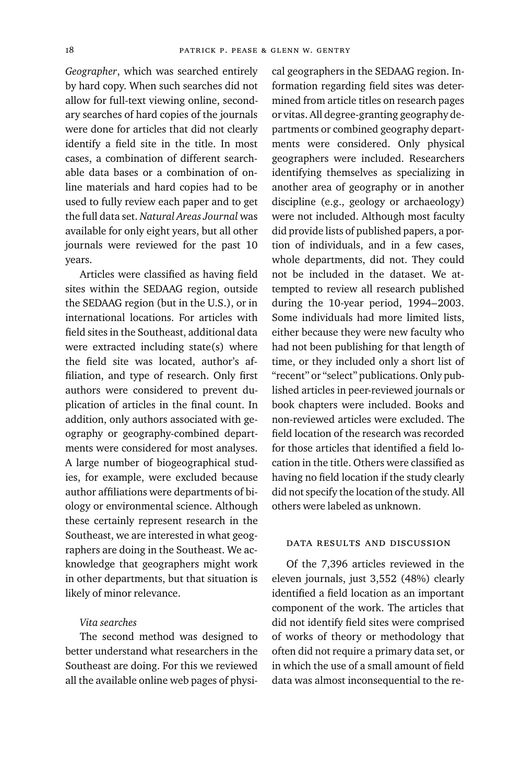*Geographer*, which was searched entirely by hard copy. When such searches did not allow for full-text viewing online, secondary searches of hard copies of the journals were done for articles that did not clearly identify a field site in the title. In most cases, a combination of different searchable data bases or a combination of online materials and hard copies had to be used to fully review each paper and to get the full data set. *Natural Areas Journal* was available for only eight years, but all other journals were reviewed for the past 10 years.

Articles were classified as having field sites within the SEDAAG region, outside the SEDAAG region (but in the U.S.), or in international locations. For articles with field sites in the Southeast, additional data were extracted including state(s) where the field site was located, author's affiliation, and type of research. Only first authors were considered to prevent duplication of articles in the final count. In addition, only authors associated with geography or geography-combined departments were considered for most analyses. A large number of biogeographical studies, for example, were excluded because author affiliations were departments of biology or environmental science. Although these certainly represent research in the Southeast, we are interested in what geographers are doing in the Southeast. We acknowledge that geographers might work in other departments, but that situation is likely of minor relevance.

#### *Vita searches*

The second method was designed to better understand what researchers in the Southeast are doing. For this we reviewed all the available online web pages of physi-

cal geographers in the SEDAAG region. Information regarding field sites was determined from article titles on research pages or vitas. All degree-granting geography departments or combined geography departments were considered. Only physical geographers were included. Researchers identifying themselves as specializing in another area of geography or in another discipline (e.g., geology or archaeology) were not included. Although most faculty did provide lists of published papers, a portion of individuals, and in a few cases, whole departments, did not. They could not be included in the dataset. We attempted to review all research published during the 10-year period, 1994-2003. Some individuals had more limited lists, either because they were new faculty who had not been publishing for that length of time, or they included only a short list of "recent" or "select" publications. Only published articles in peer-reviewed journals or book chapters were included. Books and non-reviewed articles were excluded. The field location of the research was recorded for those articles that identified a field location in the title. Others were classified as having no field location if the study clearly did not specify the location of the study. All others were labeled as unknown.

# data results and discussion

Of the 7,396 articles reviewed in the eleven journals, just 3,552 (48%) clearly identified a field location as an important component of the work. The articles that did not identify field sites were comprised of works of theory or methodology that often did not require a primary data set, or in which the use of a small amount of field data was almost inconsequential to the re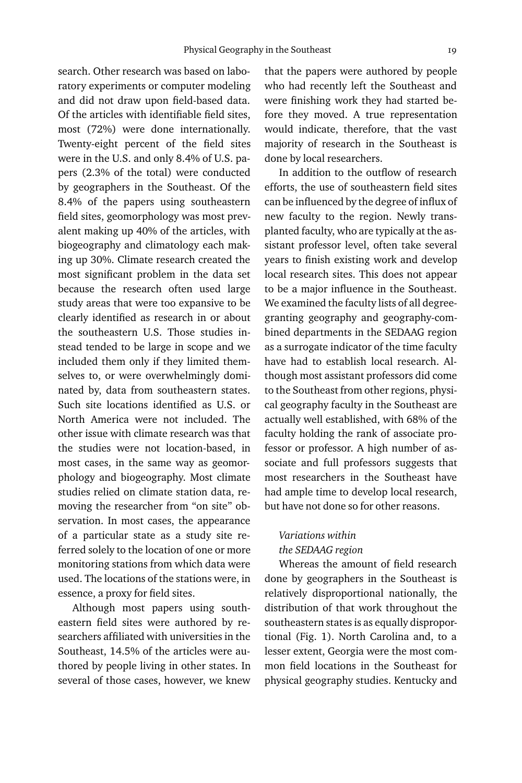search. Other research was based on laboratory experiments or computer modeling and did not draw upon field-based data. Of the articles with identifiable field sites, most (72%) were done internationally. Twenty-eight percent of the field sites were in the U.S. and only 8.4% of U.S. papers (2.3% of the total) were conducted by geographers in the Southeast. Of the ∫.∂% of the papers using southeastern field sites, geomorphology was most prevalent making up 40% of the articles, with biogeography and climatology each making up 30%. Climate research created the most significant problem in the data set because the research often used large study areas that were too expansive to be clearly identified as research in or about the southeastern U.S. Those studies instead tended to be large in scope and we included them only if they limited themselves to, or were overwhelmingly dominated by, data from southeastern states. Such site locations identified as U.S. or North America were not included. The other issue with climate research was that the studies were not location-based, in most cases, in the same way as geomorphology and biogeography. Most climate studies relied on climate station data, removing the researcher from "on site" observation. In most cases, the appearance of a particular state as a study site referred solely to the location of one or more monitoring stations from which data were used. The locations of the stations were, in essence, a proxy for field sites.

Although most papers using southeastern field sites were authored by researchers affiliated with universities in the Southeast, 14.5% of the articles were authored by people living in other states. In several of those cases, however, we knew

that the papers were authored by people who had recently left the Southeast and were finishing work they had started before they moved. A true representation would indicate, therefore, that the vast majority of research in the Southeast is done by local researchers.

In addition to the outflow of research efforts, the use of southeastern field sites can be influenced by the degree of influx of new faculty to the region. Newly transplanted faculty, who are typically at the assistant professor level, often take several years to finish existing work and develop local research sites. This does not appear to be a major influence in the Southeast. We examined the faculty lists of all degreegranting geography and geography-combined departments in the SEDAAG region as a surrogate indicator of the time faculty have had to establish local research. Although most assistant professors did come to the Southeast from other regions, physical geography faculty in the Southeast are actually well established, with 68% of the faculty holding the rank of associate professor or professor. A high number of associate and full professors suggests that most researchers in the Southeast have had ample time to develop local research, but have not done so for other reasons.

#### *Variations within the SEDAAG region*

Whereas the amount of field research done by geographers in the Southeast is relatively disproportional nationally, the distribution of that work throughout the southeastern states is as equally disproportional (Fig. 1). North Carolina and, to a lesser extent, Georgia were the most common field locations in the Southeast for physical geography studies. Kentucky and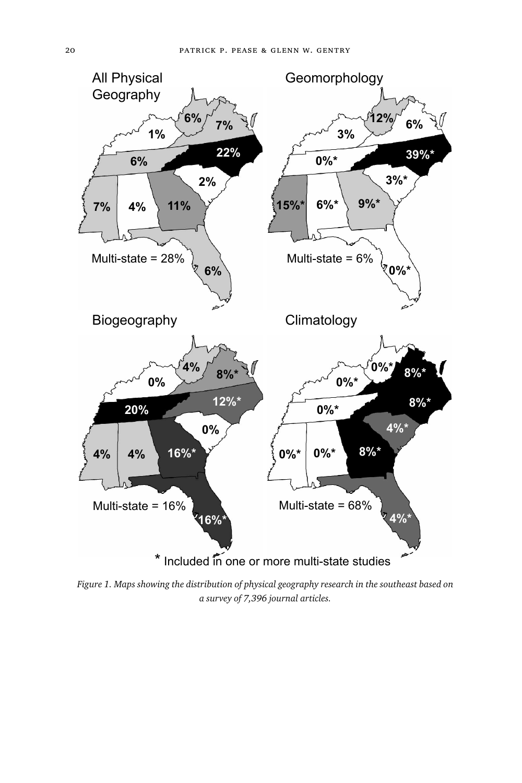

*Figure ∞. Maps showing the distribution of physical geography research in the southeast based on a survey of 7,396 journal articles.*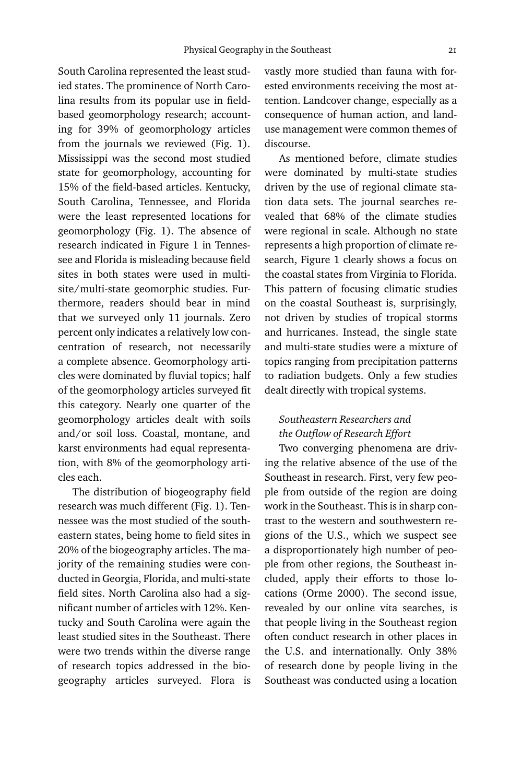South Carolina represented the least studied states. The prominence of North Carolina results from its popular use in fieldbased geomorphology research; accounting for 39% of geomorphology articles from the journals we reviewed (Fig.  $1$ ). Mississippi was the second most studied state for geomorphology, accounting for 15% of the field-based articles. Kentucky, South Carolina, Tennessee, and Florida were the least represented locations for geomorphology (Fig. 1). The absence of research indicated in Figure 1 in Tennessee and Florida is misleading because field sites in both states were used in multisite/multi-state geomorphic studies. Furthermore, readers should bear in mind that we surveyed only 11 journals. Zero percent only indicates a relatively low concentration of research, not necessarily a complete absence. Geomorphology articles were dominated by fluvial topics; half of the geomorphology articles surveyed fit this category. Nearly one quarter of the geomorphology articles dealt with soils and/or soil loss. Coastal, montane, and karst environments had equal representation, with 8% of the geomorphology articles each.

The distribution of biogeography field research was much different (Fig. 1). Tennessee was the most studied of the southeastern states, being home to field sites in 20% of the biogeography articles. The majority of the remaining studies were conducted in Georgia, Florida, and multi-state field sites. North Carolina also had a significant number of articles with 12%. Kentucky and South Carolina were again the least studied sites in the Southeast. There were two trends within the diverse range of research topics addressed in the biogeography articles surveyed. Flora is vastly more studied than fauna with forested environments receiving the most attention. Landcover change, especially as a consequence of human action, and landuse management were common themes of discourse.

As mentioned before, climate studies were dominated by multi-state studies driven by the use of regional climate station data sets. The journal searches revealed that 68% of the climate studies were regional in scale. Although no state represents a high proportion of climate research, Figure 1 clearly shows a focus on the coastal states from Virginia to Florida. This pattern of focusing climatic studies on the coastal Southeast is, surprisingly, not driven by studies of tropical storms and hurricanes. Instead, the single state and multi-state studies were a mixture of topics ranging from precipitation patterns to radiation budgets. Only a few studies dealt directly with tropical systems.

## *Southeastern Researchers and the Outflow of Research Effort*

Two converging phenomena are driving the relative absence of the use of the Southeast in research. First, very few people from outside of the region are doing work in the Southeast. This is in sharp contrast to the western and southwestern regions of the U.S., which we suspect see a disproportionately high number of people from other regions, the Southeast included, apply their efforts to those locations (Orme 2000). The second issue, revealed by our online vita searches, is that people living in the Southeast region often conduct research in other places in the U.S. and internationally. Only 38% of research done by people living in the Southeast was conducted using a location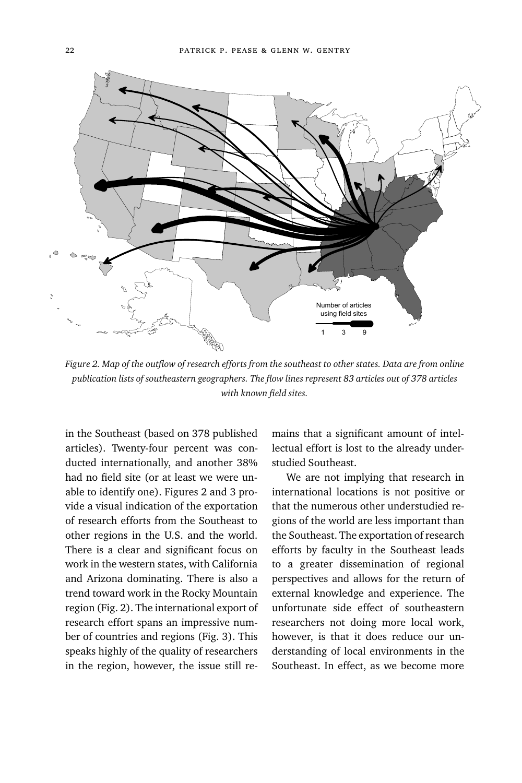

*Figure ≤. Map of the outflow of research efforts from the southeast to other states. Data are from online publication lists of southeastern geographers. The flow lines represent ∫≥ articles out of ≥π∫ articles with known field sites.*

in the Southeast (based on 378 published articles). Twenty-four percent was conducted internationally, and another 38% had no field site (or at least we were unable to identify one). Figures 2 and 3 provide a visual indication of the exportation of research efforts from the Southeast to other regions in the U.S. and the world. There is a clear and significant focus on work in the western states, with California and Arizona dominating. There is also a trend toward work in the Rocky Mountain region (Fig. 2). The international export of research effort spans an impressive number of countries and regions (Fig. 3). This speaks highly of the quality of researchers in the region, however, the issue still remains that a significant amount of intellectual effort is lost to the already understudied Southeast.

We are not implying that research in international locations is not positive or that the numerous other understudied regions of the world are less important than the Southeast. The exportation of research efforts by faculty in the Southeast leads to a greater dissemination of regional perspectives and allows for the return of external knowledge and experience. The unfortunate side effect of southeastern researchers not doing more local work, however, is that it does reduce our understanding of local environments in the Southeast. In effect, as we become more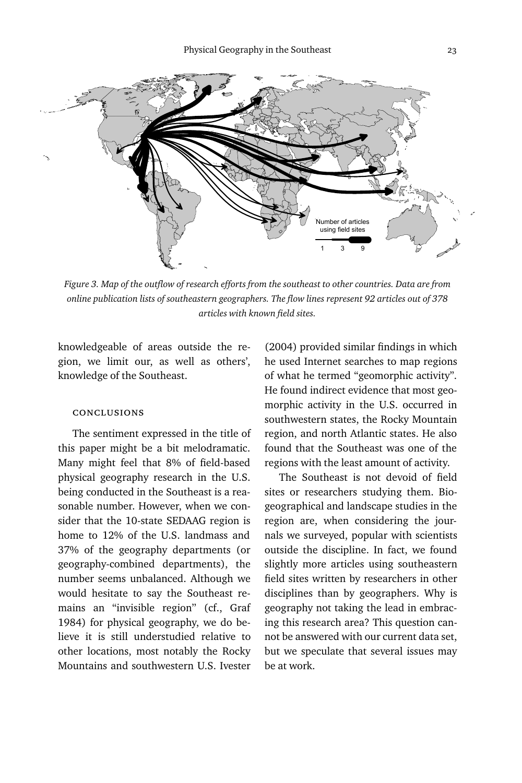

*Figure ≥. Map of the outflow of research efforts from the southeast to other countries. Data are from online publication lists of southeastern geographers. The flow lines represent 92 articles out of 378 articles with known field sites.*

knowledgeable of areas outside the region, we limit our, as well as others', knowledge of the Southeast.

## conclusions

The sentiment expressed in the title of this paper might be a bit melodramatic. Many might feel that 8% of field-based physical geography research in the U.S. being conducted in the Southeast is a reasonable number. However, when we consider that the 10-state SEDAAG region is home to 12% of the U.S. landmass and 37% of the geography departments (or geography-combined departments), the number seems unbalanced. Although we would hesitate to say the Southeast remains an ''invisible region'' (cf., Graf 1984) for physical geography, we do believe it is still understudied relative to other locations, most notably the Rocky Mountains and southwestern U.S. Ivester

(2004) provided similar findings in which he used Internet searches to map regions of what he termed ''geomorphic activity''. He found indirect evidence that most geomorphic activity in the U.S. occurred in southwestern states, the Rocky Mountain region, and north Atlantic states. He also found that the Southeast was one of the regions with the least amount of activity.

The Southeast is not devoid of field sites or researchers studying them. Biogeographical and landscape studies in the region are, when considering the journals we surveyed, popular with scientists outside the discipline. In fact, we found slightly more articles using southeastern field sites written by researchers in other disciplines than by geographers. Why is geography not taking the lead in embracing this research area? This question cannot be answered with our current data set, but we speculate that several issues may be at work.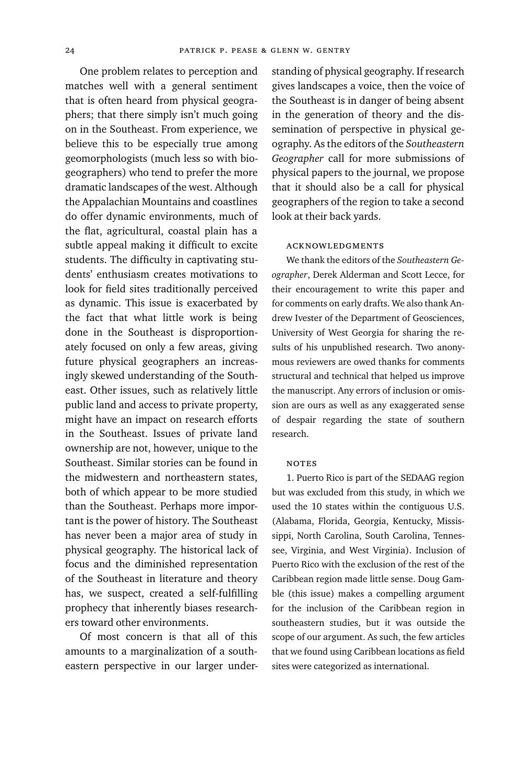One problem relates to perception and matches well with a general sentiment that is often heard from physical geographers; that there simply isn't much going on in the Southeast. From experience, we believe this to be especially true among geomorphologists (much less so with biogeographers) who tend to prefer the more dramatic landscapes of the west. Although the Appalachian Mountains and coastlines do offer dynamic environments, much of the flat, agricultural, coastal plain has a subtle appeal making it difficult to excite students. The difficulty in captivating students' enthusiasm creates motivations to look for field sites traditionally perceived as dynamic. This issue is exacerbated by the fact that what little work is being done in the Southeast is disproportionately focused on only a few areas, giving future physical geographers an increasingly skewed understanding of the Southeast. Other issues, such as relatively little public land and access to private property, might have an impact on research efforts in the Southeast. Issues of private land ownership are not, however, unique to the Southeast. Similar stories can be found in the midwestern and northeastern states, both of which appear to be more studied than the Southeast. Perhaps more important is the power of history. The Southeast has never been a major area of study in physical geography. The historical lack of focus and the diminished representation of the Southeast in literature and theory has, we suspect, created a self-fulfilling prophecy that inherently biases researchers toward other environments.

Of most concern is that all of this amounts to a marginalization of a southeastern perspective in our larger understanding of physical geography. If research gives landscapes a voice, then the voice of the Southeast is in danger of being absent in the generation of theory and the dissemination of perspective in physical geography. As the editors of the *Southeastern Geographer* call for more submissions of physical papers to the journal, we propose that it should also be a call for physical geographers of the region to take a second look at their back yards.

### acknowledgments

We thank the editors of the *Southeastern Geographer*, Derek Alderman and Scott Lecce, for their encouragement to write this paper and for comments on early drafts. We also thank Andrew Ivester of the Department of Geosciences, University of West Georgia for sharing the results of his unpublished research. Two anonymous reviewers are owed thanks for comments structural and technical that helped us improve the manuscript. Any errors of inclusion or omission are ours as well as any exaggerated sense of despair regarding the state of southern research.

#### **NOTES**

1. Puerto Rico is part of the SEDAAG region but was excluded from this study, in which we used the 10 states within the contiguous U.S. (Alabama, Florida, Georgia, Kentucky, Mississippi, North Carolina, South Carolina, Tennessee, Virginia, and West Virginia). Inclusion of Puerto Rico with the exclusion of the rest of the Caribbean region made little sense. Doug Gamble (this issue) makes a compelling argument for the inclusion of the Caribbean region in southeastern studies, but it was outside the scope of our argument. As such, the few articles that we found using Caribbean locations as field sites were categorized as international.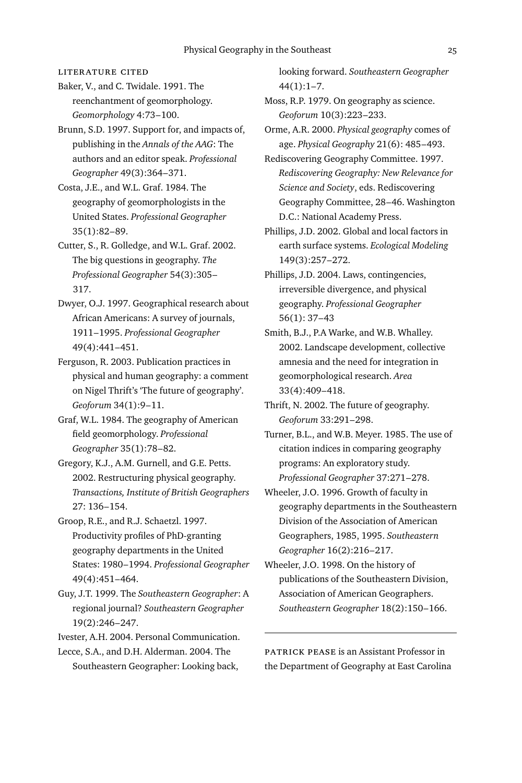literature cited

Baker, V., and C. Twidale. 1991. The reenchantment of geomorphology. Geomorphology 4:73-100.

Brunn, S.D. 1997. Support for, and impacts of, publishing in the *Annals of the AAG*: The authors and an editor speak. *Professional* Geographer 49(3):364-371.

Costa, J.E., and W.L. Graf. 1984. The geography of geomorphologists in the United States. *Professional Geographer*  $35(1):82-89.$ 

Cutter, S., R. Golledge, and W.L. Graf. 2002. The big questions in geography. *The Professional Geographer* ∑∂(≥):≥≠∑– 317.

Dwyer, O.J. 1997. Geographical research about African Americans: A survey of journals, ∞Ω∞∞–∞ΩΩ∑. *Professional Geographer* ∂Ω(∂):∂∂∞–∂∑∞.

Ferguson, R. 2003. Publication practices in physical and human geography: a comment on Nigel Thrift's 'The future of geography'. Geoforum 34(1):9-11.

Graf, W.L. 1984. The geography of American field geomorphology. *Professional* Geographer 35(1):78-82.

Gregory, K.J., A.M. Gurnell, and G.E. Petts. 2002. Restructuring physical geography. *Transactions, Institute of British Geographers* 27: 136-154.

Groop, R.E., and R.J. Schaetzl. 1997. Productivity profiles of PhD-granting geography departments in the United States: 1980-1994. Professional Geographer ∂Ω(∂):∂∑∞–∂∏∂.

Guy, J.T. 1999. The *Southeastern Geographer*: A regional journal? *Southeastern Geographer* 19(2):246-247.

Ivester, A.H. 2004. Personal Communication.

Lecce, S.A., and D.H. Alderman. 2004. The Southeastern Geographer: Looking back, looking forward. *Southeastern Geographer*  $44(1):1-7.$ 

Moss, R.P. 1979. On geography as science. Geoforum 10(3):223-233.

Orme, A.R. 2000. *Physical geography* comes of age. Physical Geography 21(6): 485-493.

Rediscovering Geography Committee. 1997. *Rediscovering Geography: New Relevance for Science and Society*, eds. Rediscovering Geography Committee, 28-46. Washington D.C.: National Academy Press.

Phillips, J.D. 2002. Global and local factors in earth surface systems. *Ecological Modeling* 149(3):257-272.

Phillips, J.D. 2004. Laws, contingencies, irreversible divergence, and physical geography. *Professional Geographer*  $56(1): 37–43$ 

Smith, B.J., P.A Warke, and W.B. Whalley. ≤≠≠≤. Landscape development, collective amnesia and the need for integration in geomorphological research. *Area* 33(4):409-418.

Thrift, N. 2002. The future of geography. *Geoforum* ≥≥:≤Ω∞–≤Ω∫.

Turner, B.L., and W.B. Meyer. 1985. The use of citation indices in comparing geography programs: An exploratory study. Professional Geographer 37:271-278.

Wheeler, J.O. 1996. Growth of faculty in geography departments in the Southeastern Division of the Association of American Geographers, 1985, 1995. Southeastern Geographer 16(2):216-217.

Wheeler, J.O. 1998. On the history of publications of the Southeastern Division, Association of American Geographers. Southeastern Geographer 18(2):150-166.

patrick pease is an Assistant Professor in the Department of Geography at East Carolina